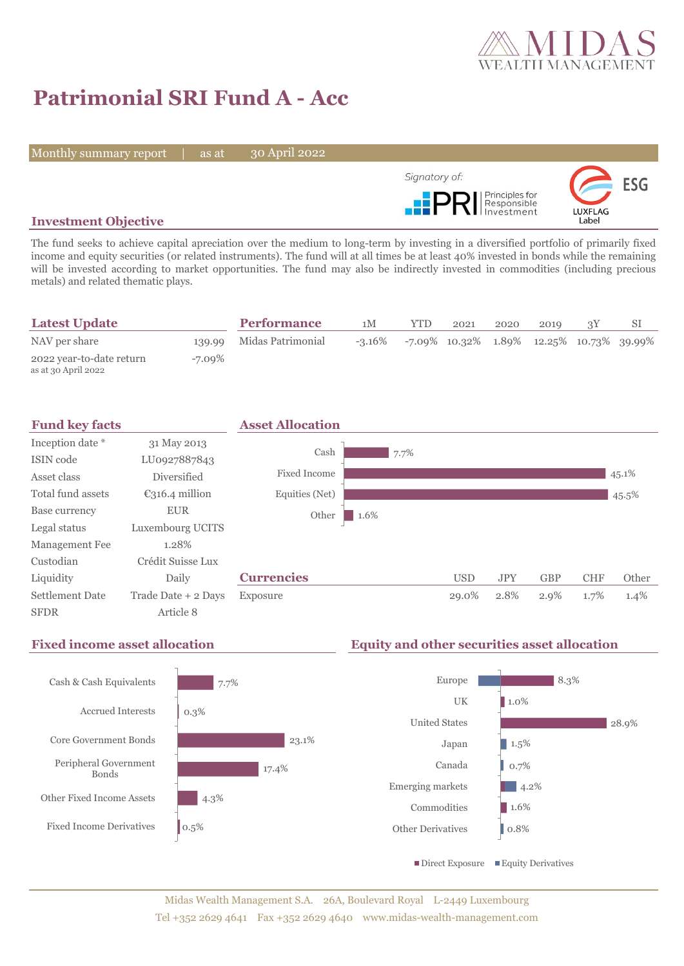

# **Patrimonial SRI Fund A - Acc**

Monthly summary report | as at

30 April 2022



# **Investment Objective**

The fund seeks to achieve capital apreciation over the medium to long-term by investing in a diversified portfolio of primarily fixed income and equity securities (or related instruments). The fund will at all times be at least 40% invested in bonds while the remaining will be invested according to market opportunities. The fund may also be indirectly invested in commodities (including precious metals) and related thematic plays.

| <b>Latest Update</b>                            |        | <b>Performance</b> | 1М        | <b>YTD</b>                                       | 2021 | 2020 | 2010 |  |
|-------------------------------------------------|--------|--------------------|-----------|--------------------------------------------------|------|------|------|--|
| NAV per share                                   | 139.99 | Midas Patrimonial  | $-3.16\%$ | $-7.09\%$ 10.32\% 1.89\% 12.25\% 10.73\% 39.99\% |      |      |      |  |
| 2022 year-to-date return<br>as at 30 April 2022 | -7.09% |                    |           |                                                  |      |      |      |  |



# **Fixed income asset allocation Equity and other securities asset allocation**

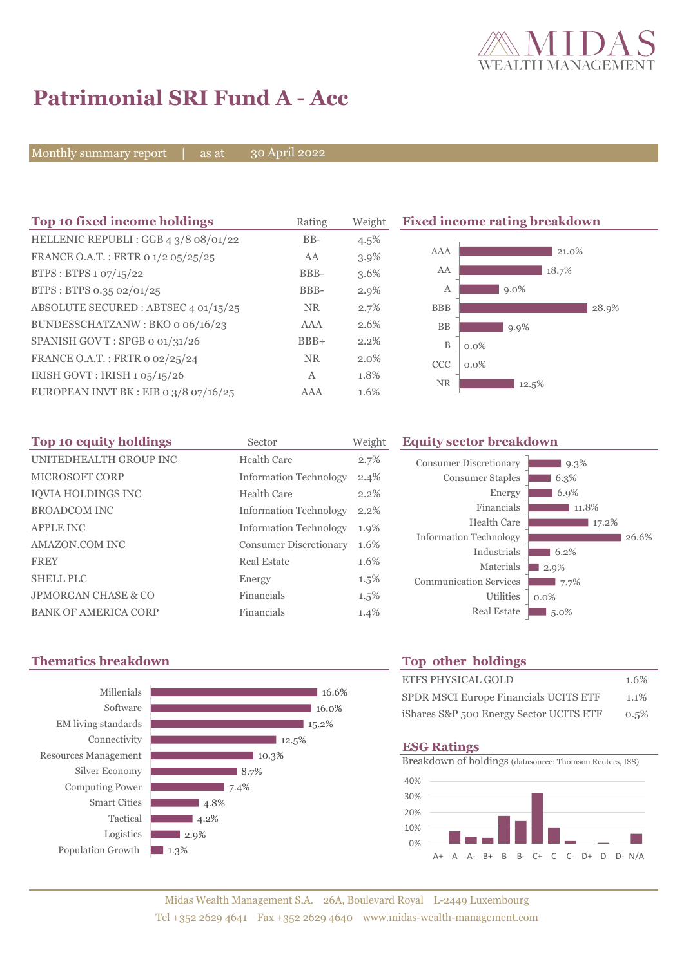

# **Patrimonial SRI Fund A - Acc**

Monthly summary report | as at

30 April 2022

| Top 10 fixed income holdings            | Rating     | Weight  | <b>Fixed income rating breakdown</b> |         |  |
|-----------------------------------------|------------|---------|--------------------------------------|---------|--|
| HELLENIC REPUBLI: GGB 4 3/8 08/01/22    | $BB-$      | 4.5%    |                                      |         |  |
| FRANCE O.A.T.: FRTR 0 1/2 05/25/25      | AA         | $3.9\%$ | AAA                                  | 21.0%   |  |
| BTPS : BTPS $1.07/15/22$                | BBB-       | $3.6\%$ | AA                                   | 18.7%   |  |
| BTPS: BTPS 0.35 02/01/25                | BBB-       | $2.9\%$ | А                                    | $9.0\%$ |  |
| ABSOLUTE SECURED : ABTSEC 4 01/15/25    | <b>NR</b>  | 2.7%    | <b>BBB</b>                           | 28.9%   |  |
| BUNDESSCHATZANW: BKO o 06/16/23         | AAA        | 2.6%    | <b>BB</b>                            | $9.9\%$ |  |
| SPANISH GOV'T: SPGB o 01/31/26          | $BBB+$     | $2.2\%$ | B                                    | $0.0\%$ |  |
| FRANCE O.A.T.: FRTR 0 02/25/24          | <b>NR</b>  | $2.0\%$ | <b>CCC</b>                           | $0.0\%$ |  |
| IRISH GOVT : IRISH 1 05/15/26           | A          | 1.8%    | <b>NR</b>                            |         |  |
| EUROPEAN INVT BK : EIB o $3/8$ o7/16/25 | <b>AAA</b> | 1.6%    |                                      | 12.5%   |  |

| Top 10 equity holdings         | Sector                        | Weight  | Equ |  |
|--------------------------------|-------------------------------|---------|-----|--|
| UNITEDHEALTH GROUP INC         | Health Care                   | 2.7%    |     |  |
| <b>MICROSOFT CORP</b>          | <b>Information Technology</b> | 2.4%    |     |  |
| <b>IOVIA HOLDINGS INC</b>      | Health Care                   | 2.2%    |     |  |
| <b>BROADCOM INC</b>            | <b>Information Technology</b> | 2.2%    |     |  |
| <b>APPLE INC</b>               | <b>Information Technology</b> | $1.9\%$ |     |  |
| AMAZON.COM INC                 | <b>Consumer Discretionary</b> | 1.6%    |     |  |
| <b>FREY</b>                    | Real Estate                   | 1.6%    |     |  |
| <b>SHELL PLC</b>               | Energy                        | $1.5\%$ |     |  |
| <b>JPMORGAN CHASE &amp; CO</b> | Financials                    | $1.5\%$ |     |  |
| <b>BANK OF AMERICA CORP</b>    | Financials                    | 1.4%    |     |  |

## **Top 10 equity holdings** Sector Weight **Equity sector breakdown**

| <b>Consumer Discretionary</b> | 9.3%    |       |
|-------------------------------|---------|-------|
| <b>Consumer Staples</b>       | 6.3%    |       |
| Energy                        | 6.9%    |       |
| Financials                    | 11.8%   |       |
| Health Care                   | 17.2%   |       |
| <b>Information Technology</b> |         | 26.6% |
| Industrials                   | 6.2%    |       |
| Materials                     | 2.9%    |       |
| <b>Communication Services</b> | 7.7%    |       |
| <b>Utilities</b>              | $0.0\%$ |       |
| <b>Real Estate</b>            | $5.0\%$ |       |
|                               |         |       |

# **Thematics breakdown Top other holdings**



| <b>ETFS PHYSICAL GOLD</b>               | 1.6% |
|-----------------------------------------|------|
| SPDR MSCI Europe Financials UCITS ETF   | 1.1% |
| iShares S&P 500 Energy Sector UCITS ETF | 0.5% |

## **ESG Ratings**

Breakdown of holdings (datasource: Thomson Reuters, ISS)